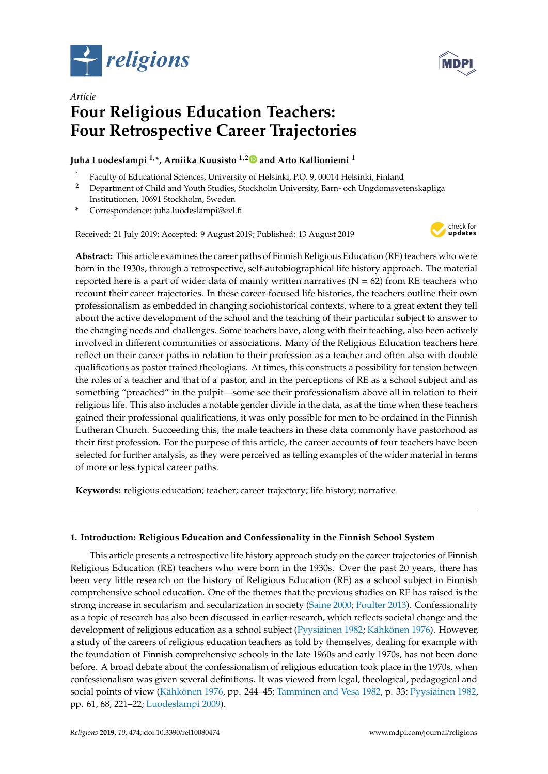



# *Article* **Four Religious Education Teachers: Four Retrospective Career Trajectories**

# **Juha Luodeslampi 1,\*, Arniika Kuusisto 1,[2](https://orcid.org/0000-0002-6085-576X) and Arto Kallioniemi <sup>1</sup>**

- <sup>1</sup> Faculty of Educational Sciences, University of Helsinki, P.O. 9, 00014 Helsinki, Finland<br><sup>2</sup> Department of Child and Youth Studies, Stockholm University Barn, och Ungdomsvol
- <sup>2</sup> Department of Child and Youth Studies, Stockholm University, Barn- och Ungdomsvetenskapliga Institutionen, 10691 Stockholm, Sweden
- **\*** Correspondence: juha.luodeslampi@evl.fi

Received: 21 July 2019; Accepted: 9 August 2019; Published: 13 August 2019



**Abstract:** This article examines the career paths of Finnish Religious Education (RE) teachers who were born in the 1930s, through a retrospective, self-autobiographical life history approach. The material reported here is a part of wider data of mainly written narratives ( $N = 62$ ) from RE teachers who recount their career trajectories. In these career-focused life histories, the teachers outline their own professionalism as embedded in changing sociohistorical contexts, where to a great extent they tell about the active development of the school and the teaching of their particular subject to answer to the changing needs and challenges. Some teachers have, along with their teaching, also been actively involved in different communities or associations. Many of the Religious Education teachers here reflect on their career paths in relation to their profession as a teacher and often also with double qualifications as pastor trained theologians. At times, this constructs a possibility for tension between the roles of a teacher and that of a pastor, and in the perceptions of RE as a school subject and as something "preached" in the pulpit—some see their professionalism above all in relation to their religious life. This also includes a notable gender divide in the data, as at the time when these teachers gained their professional qualifications, it was only possible for men to be ordained in the Finnish Lutheran Church. Succeeding this, the male teachers in these data commonly have pastorhood as their first profession. For the purpose of this article, the career accounts of four teachers have been selected for further analysis, as they were perceived as telling examples of the wider material in terms of more or less typical career paths.

**Keywords:** religious education; teacher; career trajectory; life history; narrative

# **1. Introduction: Religious Education and Confessionality in the Finnish School System**

This article presents a retrospective life history approach study on the career trajectories of Finnish Religious Education (RE) teachers who were born in the 1930s. Over the past 20 years, there has been very little research on the history of Religious Education (RE) as a school subject in Finnish comprehensive school education. One of the themes that the previous studies on RE has raised is the strong increase in secularism and secularization in society [\(Saine](#page-18-0) [2000;](#page-18-0) [Poulter](#page-18-1) [2013\)](#page-18-1). Confessionality as a topic of research has also been discussed in earlier research, which reflects societal change and the development of religious education as a school subject [\(Pyysiäinen](#page-18-2) [1982;](#page-18-2) [Kähkönen](#page-17-0) [1976\)](#page-17-0). However, a study of the careers of religious education teachers as told by themselves, dealing for example with the foundation of Finnish comprehensive schools in the late 1960s and early 1970s, has not been done before. A broad debate about the confessionalism of religious education took place in the 1970s, when confessionalism was given several definitions. It was viewed from legal, theological, pedagogical and social points of view [\(Kähkönen](#page-17-0) [1976,](#page-17-0) pp. 244–45; [Tamminen and Vesa](#page-18-3) [1982,](#page-18-3) p. 33; [Pyysiäinen](#page-18-2) [1982,](#page-18-2) pp. 61, 68, 221–22; [Luodeslampi](#page-17-1) [2009\)](#page-17-1).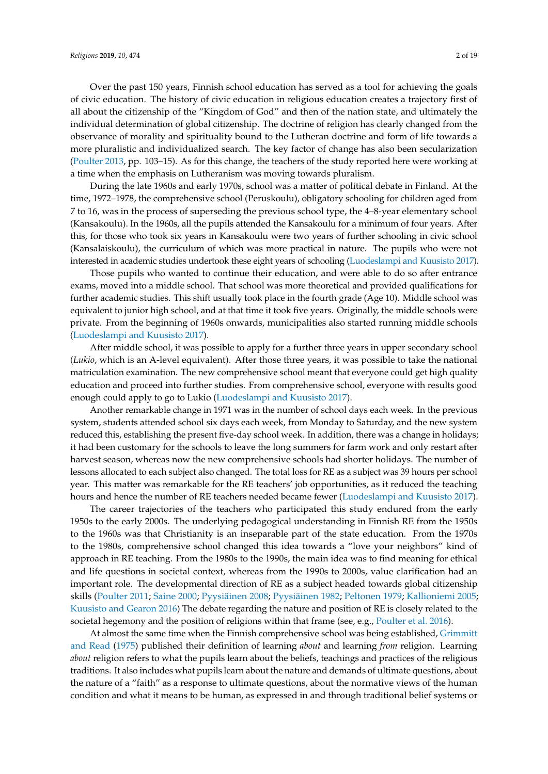Over the past 150 years, Finnish school education has served as a tool for achieving the goals of civic education. The history of civic education in religious education creates a trajectory first of all about the citizenship of the "Kingdom of God" and then of the nation state, and ultimately the individual determination of global citizenship. The doctrine of religion has clearly changed from the observance of morality and spirituality bound to the Lutheran doctrine and form of life towards a more pluralistic and individualized search. The key factor of change has also been secularization [\(Poulter](#page-18-1) [2013,](#page-18-1) pp. 103–15). As for this change, the teachers of the study reported here were working at a time when the emphasis on Lutheranism was moving towards pluralism.

During the late 1960s and early 1970s, school was a matter of political debate in Finland. At the time, 1972–1978, the comprehensive school (Peruskoulu), obligatory schooling for children aged from 7 to 16, was in the process of superseding the previous school type, the 4–8-year elementary school (Kansakoulu). In the 1960s, all the pupils attended the Kansakoulu for a minimum of four years. After this, for those who took six years in Kansakoulu were two years of further schooling in civic school (Kansalaiskoulu), the curriculum of which was more practical in nature. The pupils who were not interested in academic studies undertook these eight years of schooling [\(Luodeslampi and Kuusisto](#page-17-2) [2017\)](#page-17-2).

Those pupils who wanted to continue their education, and were able to do so after entrance exams, moved into a middle school. That school was more theoretical and provided qualifications for further academic studies. This shift usually took place in the fourth grade (Age 10). Middle school was equivalent to junior high school, and at that time it took five years. Originally, the middle schools were private. From the beginning of 1960s onwards, municipalities also started running middle schools [\(Luodeslampi and Kuusisto](#page-17-2) [2017\)](#page-17-2).

After middle school, it was possible to apply for a further three years in upper secondary school (*Lukio*, which is an A-level equivalent). After those three years, it was possible to take the national matriculation examination. The new comprehensive school meant that everyone could get high quality education and proceed into further studies. From comprehensive school, everyone with results good enough could apply to go to Lukio [\(Luodeslampi and Kuusisto](#page-17-2) [2017\)](#page-17-2).

Another remarkable change in 1971 was in the number of school days each week. In the previous system, students attended school six days each week, from Monday to Saturday, and the new system reduced this, establishing the present five-day school week. In addition, there was a change in holidays; it had been customary for the schools to leave the long summers for farm work and only restart after harvest season, whereas now the new comprehensive schools had shorter holidays. The number of lessons allocated to each subject also changed. The total loss for RE as a subject was 39 hours per school year. This matter was remarkable for the RE teachers' job opportunities, as it reduced the teaching hours and hence the number of RE teachers needed became fewer [\(Luodeslampi and Kuusisto](#page-17-2) [2017\)](#page-17-2).

The career trajectories of the teachers who participated this study endured from the early 1950s to the early 2000s. The underlying pedagogical understanding in Finnish RE from the 1950s to the 1960s was that Christianity is an inseparable part of the state education. From the 1970s to the 1980s, comprehensive school changed this idea towards a "love your neighbors" kind of approach in RE teaching. From the 1980s to the 1990s, the main idea was to find meaning for ethical and life questions in societal context, whereas from the 1990s to 2000s, value clarification had an important role. The developmental direction of RE as a subject headed towards global citizenship skills [\(Poulter](#page-18-4) [2011;](#page-18-4) [Saine](#page-18-0) [2000;](#page-18-0) [Pyysiäinen](#page-18-5) [2008;](#page-18-5) [Pyysiäinen](#page-18-2) [1982;](#page-18-2) [Peltonen](#page-18-6) [1979;](#page-18-6) [Kallioniemi](#page-17-3) [2005;](#page-17-3) [Kuusisto and Gearon](#page-17-4) [2016\)](#page-17-4) The debate regarding the nature and position of RE is closely related to the societal hegemony and the position of religions within that frame (see, e.g., [Poulter et al.](#page-18-7) [2016\)](#page-18-7).

At almost the same time when the Finnish comprehensive school was being established, [Grimmitt](#page-17-5) [and Read](#page-17-5) [\(1975\)](#page-17-5) published their definition of learning *about* and learning *from* religion. Learning *about* religion refers to what the pupils learn about the beliefs, teachings and practices of the religious traditions. It also includes what pupils learn about the nature and demands of ultimate questions, about the nature of a "faith" as a response to ultimate questions, about the normative views of the human condition and what it means to be human, as expressed in and through traditional belief systems or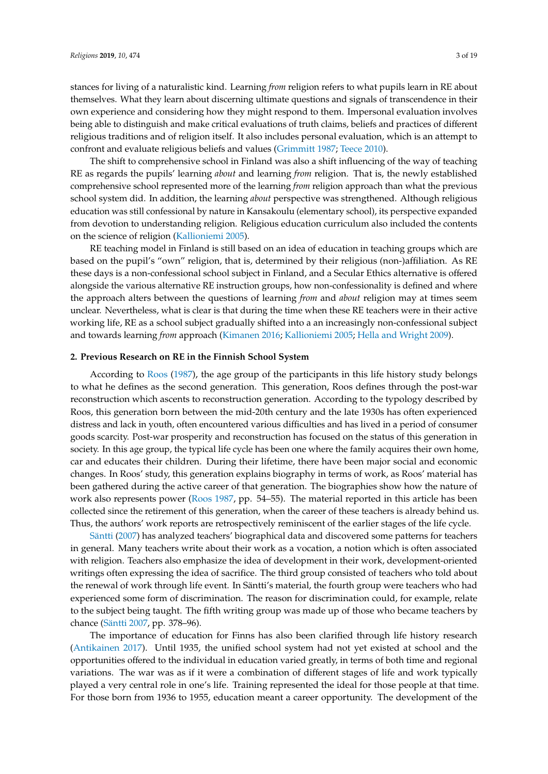stances for living of a naturalistic kind. Learning *from* religion refers to what pupils learn in RE about themselves. What they learn about discerning ultimate questions and signals of transcendence in their own experience and considering how they might respond to them. Impersonal evaluation involves being able to distinguish and make critical evaluations of truth claims, beliefs and practices of different religious traditions and of religion itself. It also includes personal evaluation, which is an attempt to confront and evaluate religious beliefs and values [\(Grimmitt](#page-17-6) [1987;](#page-17-6) [Teece](#page-18-8) [2010\)](#page-18-8).

The shift to comprehensive school in Finland was also a shift influencing of the way of teaching RE as regards the pupils' learning *about* and learning *from* religion. That is, the newly established comprehensive school represented more of the learning *from* religion approach than what the previous school system did. In addition, the learning *about* perspective was strengthened. Although religious education was still confessional by nature in Kansakoulu (elementary school), its perspective expanded from devotion to understanding religion. Religious education curriculum also included the contents on the science of religion [\(Kallioniemi](#page-17-3) [2005\)](#page-17-3).

RE teaching model in Finland is still based on an idea of education in teaching groups which are based on the pupil's "own" religion, that is, determined by their religious (non-)affiliation. As RE these days is a non-confessional school subject in Finland, and a Secular Ethics alternative is offered alongside the various alternative RE instruction groups, how non-confessionality is defined and where the approach alters between the questions of learning *from* and *about* religion may at times seem unclear. Nevertheless, what is clear is that during the time when these RE teachers were in their active working life, RE as a school subject gradually shifted into a an increasingly non-confessional subject and towards learning *from* approach [\(Kimanen](#page-17-7) [2016;](#page-17-7) [Kallioniemi](#page-17-3) [2005;](#page-17-3) [Hella and Wright](#page-17-8) [2009\)](#page-17-8).

#### **2. Previous Research on RE in the Finnish School System**

According to [Roos](#page-18-9) [\(1987\)](#page-18-9), the age group of the participants in this life history study belongs to what he defines as the second generation. This generation, Roos defines through the post-war reconstruction which ascents to reconstruction generation. According to the typology described by Roos, this generation born between the mid-20th century and the late 1930s has often experienced distress and lack in youth, often encountered various difficulties and has lived in a period of consumer goods scarcity. Post-war prosperity and reconstruction has focused on the status of this generation in society. In this age group, the typical life cycle has been one where the family acquires their own home, car and educates their children. During their lifetime, there have been major social and economic changes. In Roos' study, this generation explains biography in terms of work, as Roos' material has been gathered during the active career of that generation. The biographies show how the nature of work also represents power [\(Roos](#page-18-9) [1987,](#page-18-9) pp. 54–55). The material reported in this article has been collected since the retirement of this generation, when the career of these teachers is already behind us. Thus, the authors' work reports are retrospectively reminiscent of the earlier stages of the life cycle.

[Säntti](#page-18-10) [\(2007\)](#page-18-10) has analyzed teachers' biographical data and discovered some patterns for teachers in general. Many teachers write about their work as a vocation, a notion which is often associated with religion. Teachers also emphasize the idea of development in their work, development-oriented writings often expressing the idea of sacrifice. The third group consisted of teachers who told about the renewal of work through life event. In Säntti's material, the fourth group were teachers who had experienced some form of discrimination. The reason for discrimination could, for example, relate to the subject being taught. The fifth writing group was made up of those who became teachers by chance [\(Säntti](#page-18-10) [2007,](#page-18-10) pp. 378–96).

The importance of education for Finns has also been clarified through life history research [\(Antikainen](#page-16-0) [2017\)](#page-16-0). Until 1935, the unified school system had not yet existed at school and the opportunities offered to the individual in education varied greatly, in terms of both time and regional variations. The war was as if it were a combination of different stages of life and work typically played a very central role in one's life. Training represented the ideal for those people at that time. For those born from 1936 to 1955, education meant a career opportunity. The development of the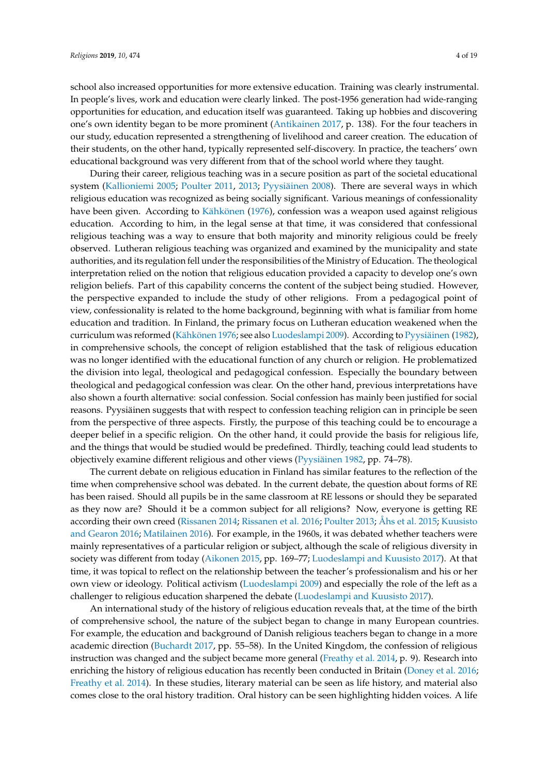school also increased opportunities for more extensive education. Training was clearly instrumental. In people's lives, work and education were clearly linked. The post-1956 generation had wide-ranging opportunities for education, and education itself was guaranteed. Taking up hobbies and discovering one's own identity began to be more prominent [\(Antikainen](#page-16-0) [2017,](#page-16-0) p. 138). For the four teachers in our study, education represented a strengthening of livelihood and career creation. The education of their students, on the other hand, typically represented self-discovery. In practice, the teachers' own educational background was very different from that of the school world where they taught.

During their career, religious teaching was in a secure position as part of the societal educational system [\(Kallioniemi](#page-17-3) [2005;](#page-17-3) [Poulter](#page-18-4) [2011,](#page-18-4) [2013;](#page-18-1) [Pyysiäinen](#page-18-5) [2008\)](#page-18-5). There are several ways in which religious education was recognized as being socially significant. Various meanings of confessionality have been given. According to [Kähkönen](#page-17-0) [\(1976\)](#page-17-0), confession was a weapon used against religious education. According to him, in the legal sense at that time, it was considered that confessional religious teaching was a way to ensure that both majority and minority religious could be freely observed. Lutheran religious teaching was organized and examined by the municipality and state authorities, and its regulation fell under the responsibilities of the Ministry of Education. The theological interpretation relied on the notion that religious education provided a capacity to develop one's own religion beliefs. Part of this capability concerns the content of the subject being studied. However, the perspective expanded to include the study of other religions. From a pedagogical point of view, confessionality is related to the home background, beginning with what is familiar from home education and tradition. In Finland, the primary focus on Lutheran education weakened when the curriculum was reformed [\(Kähkönen](#page-17-0) [1976;](#page-17-0) see also [Luodeslampi](#page-17-1) [2009\)](#page-17-1). According to [Pyysiäinen](#page-18-2) [\(1982\)](#page-18-2), in comprehensive schools, the concept of religion established that the task of religious education was no longer identified with the educational function of any church or religion. He problematized the division into legal, theological and pedagogical confession. Especially the boundary between theological and pedagogical confession was clear. On the other hand, previous interpretations have also shown a fourth alternative: social confession. Social confession has mainly been justified for social reasons. Pyysiäinen suggests that with respect to confession teaching religion can in principle be seen from the perspective of three aspects. Firstly, the purpose of this teaching could be to encourage a deeper belief in a specific religion. On the other hand, it could provide the basis for religious life, and the things that would be studied would be predefined. Thirdly, teaching could lead students to objectively examine different religious and other views [\(Pyysiäinen](#page-18-2) [1982,](#page-18-2) pp. 74–78).

The current debate on religious education in Finland has similar features to the reflection of the time when comprehensive school was debated. In the current debate, the question about forms of RE has been raised. Should all pupils be in the same classroom at RE lessons or should they be separated as they now are? Should it be a common subject for all religions? Now, everyone is getting RE according their own creed [\(Rissanen](#page-18-11) [2014;](#page-18-11) [Rissanen et al.](#page-18-12) [2016;](#page-18-12) [Poulter](#page-18-1) [2013;](#page-18-1) [Åhs et al.](#page-16-1) [2015;](#page-16-1) [Kuusisto](#page-17-4) [and Gearon](#page-17-4) [2016;](#page-17-4) [Matilainen](#page-17-9) [2016\)](#page-17-9). For example, in the 1960s, it was debated whether teachers were mainly representatives of a particular religion or subject, although the scale of religious diversity in society was different from today [\(Aikonen](#page-16-2) [2015,](#page-16-2) pp. 169–77; [Luodeslampi and Kuusisto](#page-17-2) [2017\)](#page-17-2). At that time, it was topical to reflect on the relationship between the teacher's professionalism and his or her own view or ideology. Political activism [\(Luodeslampi](#page-17-1) [2009\)](#page-17-1) and especially the role of the left as a challenger to religious education sharpened the debate [\(Luodeslampi and Kuusisto](#page-17-2) [2017\)](#page-17-2).

An international study of the history of religious education reveals that, at the time of the birth of comprehensive school, the nature of the subject began to change in many European countries. For example, the education and background of Danish religious teachers began to change in a more academic direction [\(Buchardt](#page-16-3) [2017,](#page-16-3) pp. 55–58). In the United Kingdom, the confession of religious instruction was changed and the subject became more general [\(Freathy et al.](#page-17-10) [2014,](#page-17-10) p. 9). Research into enriching the history of religious education has recently been conducted in Britain [\(Doney et al.](#page-16-4) [2016;](#page-16-4) [Freathy et al.](#page-17-10) [2014\)](#page-17-10). In these studies, literary material can be seen as life history, and material also comes close to the oral history tradition. Oral history can be seen highlighting hidden voices. A life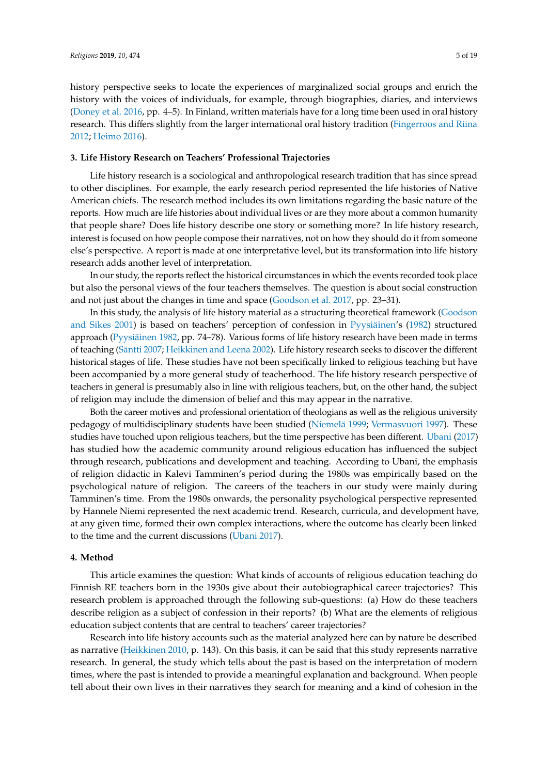history perspective seeks to locate the experiences of marginalized social groups and enrich the history with the voices of individuals, for example, through biographies, diaries, and interviews [\(Doney et al.](#page-16-4) [2016,](#page-16-4) pp. 4–5). In Finland, written materials have for a long time been used in oral history research. This differs slightly from the larger international oral history tradition [\(Fingerroos and Riina](#page-16-5) [2012;](#page-16-5) [Heimo](#page-17-11) [2016\)](#page-17-11).

#### **3. Life History Research on Teachers' Professional Trajectories**

Life history research is a sociological and anthropological research tradition that has since spread to other disciplines. For example, the early research period represented the life histories of Native American chiefs. The research method includes its own limitations regarding the basic nature of the reports. How much are life histories about individual lives or are they more about a common humanity that people share? Does life history describe one story or something more? In life history research, interest is focused on how people compose their narratives, not on how they should do it from someone else's perspective. A report is made at one interpretative level, but its transformation into life history research adds another level of interpretation.

In our study, the reports reflect the historical circumstances in which the events recorded took place but also the personal views of the four teachers themselves. The question is about social construction and not just about the changes in time and space [\(Goodson et al.](#page-17-12) [2017,](#page-17-12) pp. 23–31).

In this study, the analysis of life history material as a structuring theoretical framework [\(Goodson](#page-17-13) [and Sikes](#page-17-13) [2001\)](#page-17-13) is based on teachers' perception of confession in [Pyysiäinen'](#page-18-2)s [\(1982\)](#page-18-2) structured approach [\(Pyysiäinen](#page-18-2) [1982,](#page-18-2) pp. 74–78). Various forms of life history research have been made in terms of teaching [\(Säntti](#page-18-10) [2007;](#page-18-10) [Heikkinen and Leena](#page-17-14) [2002\)](#page-17-14). Life history research seeks to discover the different historical stages of life. These studies have not been specifically linked to religious teaching but have been accompanied by a more general study of teacherhood. The life history research perspective of teachers in general is presumably also in line with religious teachers, but, on the other hand, the subject of religion may include the dimension of belief and this may appear in the narrative.

Both the career motives and professional orientation of theologians as well as the religious university pedagogy of multidisciplinary students have been studied [\(Niemelä](#page-17-15) [1999;](#page-17-15) [Vermasvuori](#page-18-13) [1997\)](#page-18-13). These studies have touched upon religious teachers, but the time perspective has been different. [Ubani](#page-18-14) [\(2017\)](#page-18-14) has studied how the academic community around religious education has influenced the subject through research, publications and development and teaching. According to Ubani, the emphasis of religion didactic in Kalevi Tamminen's period during the 1980s was empirically based on the psychological nature of religion. The careers of the teachers in our study were mainly during Tamminen's time. From the 1980s onwards, the personality psychological perspective represented by Hannele Niemi represented the next academic trend. Research, curricula, and development have, at any given time, formed their own complex interactions, where the outcome has clearly been linked to the time and the current discussions [\(Ubani](#page-18-14) [2017\)](#page-18-14).

# **4. Method**

This article examines the question: What kinds of accounts of religious education teaching do Finnish RE teachers born in the 1930s give about their autobiographical career trajectories? This research problem is approached through the following sub-questions: (a) How do these teachers describe religion as a subject of confession in their reports? (b) What are the elements of religious education subject contents that are central to teachers' career trajectories?

Research into life history accounts such as the material analyzed here can by nature be described as narrative [\(Heikkinen](#page-17-16) [2010,](#page-17-16) p. 143). On this basis, it can be said that this study represents narrative research. In general, the study which tells about the past is based on the interpretation of modern times, where the past is intended to provide a meaningful explanation and background. When people tell about their own lives in their narratives they search for meaning and a kind of cohesion in the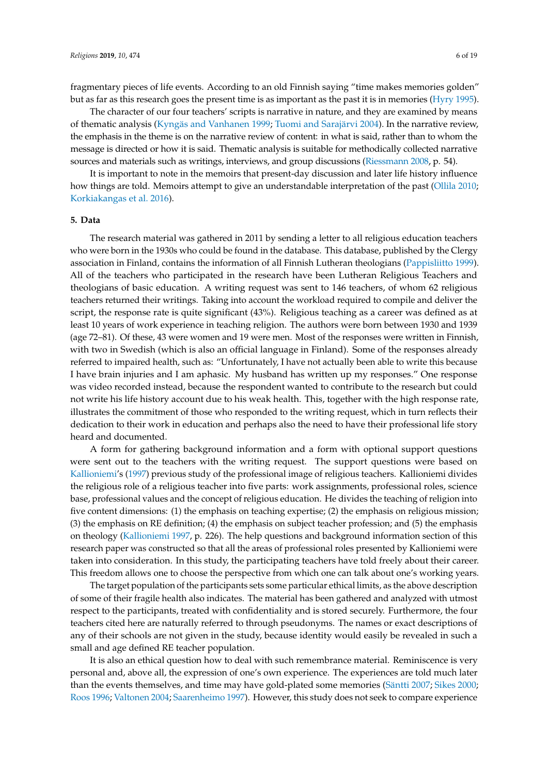fragmentary pieces of life events. According to an old Finnish saying "time makes memories golden" but as far as this research goes the present time is as important as the past it is in memories [\(Hyry](#page-17-17) [1995\)](#page-17-17).

The character of our four teachers' scripts is narrative in nature, and they are examined by means of thematic analysis [\(Kyngäs and Vanhanen](#page-17-18) [1999;](#page-17-18) [Tuomi and Sarajärvi](#page-18-15) [2004\)](#page-18-15). In the narrative review, the emphasis in the theme is on the narrative review of content: in what is said, rather than to whom the message is directed or how it is said. Thematic analysis is suitable for methodically collected narrative sources and materials such as writings, interviews, and group discussions [\(Riessmann](#page-18-16) [2008,](#page-18-16) p. 54).

It is important to note in the memoirs that present-day discussion and later life history influence how things are told. Memoirs attempt to give an understandable interpretation of the past [\(Ollila](#page-17-19) [2010;](#page-17-19) [Korkiakangas et al.](#page-17-20) [2016\)](#page-17-20).

# **5. Data**

The research material was gathered in 2011 by sending a letter to all religious education teachers who were born in the 1930s who could be found in the database. This database, published by the Clergy association in Finland, contains the information of all Finnish Lutheran theologians [\(Pappisliitto](#page-18-17) [1999\)](#page-18-17). All of the teachers who participated in the research have been Lutheran Religious Teachers and theologians of basic education. A writing request was sent to 146 teachers, of whom 62 religious teachers returned their writings. Taking into account the workload required to compile and deliver the script, the response rate is quite significant (43%). Religious teaching as a career was defined as at least 10 years of work experience in teaching religion. The authors were born between 1930 and 1939 (age 72–81). Of these, 43 were women and 19 were men. Most of the responses were written in Finnish, with two in Swedish (which is also an official language in Finland). Some of the responses already referred to impaired health, such as: "Unfortunately, I have not actually been able to write this because I have brain injuries and I am aphasic. My husband has written up my responses." One response was video recorded instead, because the respondent wanted to contribute to the research but could not write his life history account due to his weak health. This, together with the high response rate, illustrates the commitment of those who responded to the writing request, which in turn reflects their dedication to their work in education and perhaps also the need to have their professional life story heard and documented.

A form for gathering background information and a form with optional support questions were sent out to the teachers with the writing request. The support questions were based on [Kallioniemi'](#page-17-21)s [\(1997\)](#page-17-21) previous study of the professional image of religious teachers. Kallioniemi divides the religious role of a religious teacher into five parts: work assignments, professional roles, science base, professional values and the concept of religious education. He divides the teaching of religion into five content dimensions: (1) the emphasis on teaching expertise; (2) the emphasis on religious mission; (3) the emphasis on RE definition; (4) the emphasis on subject teacher profession; and (5) the emphasis on theology [\(Kallioniemi](#page-17-21) [1997,](#page-17-21) p. 226). The help questions and background information section of this research paper was constructed so that all the areas of professional roles presented by Kallioniemi were taken into consideration. In this study, the participating teachers have told freely about their career. This freedom allows one to choose the perspective from which one can talk about one's working years.

The target population of the participants sets some particular ethical limits, as the above description of some of their fragile health also indicates. The material has been gathered and analyzed with utmost respect to the participants, treated with confidentiality and is stored securely. Furthermore, the four teachers cited here are naturally referred to through pseudonyms. The names or exact descriptions of any of their schools are not given in the study, because identity would easily be revealed in such a small and age defined RE teacher population.

It is also an ethical question how to deal with such remembrance material. Reminiscence is very personal and, above all, the expression of one's own experience. The experiences are told much later than the events themselves, and time may have gold-plated some memories [\(Säntti](#page-18-10) [2007;](#page-18-10) [Sikes](#page-18-18) [2000;](#page-18-18) [Roos](#page-18-19) [1996;](#page-18-19) [Valtonen](#page-18-20) [2004;](#page-18-20) [Saarenheimo](#page-18-21) [1997\)](#page-18-21). However, this study does not seek to compare experience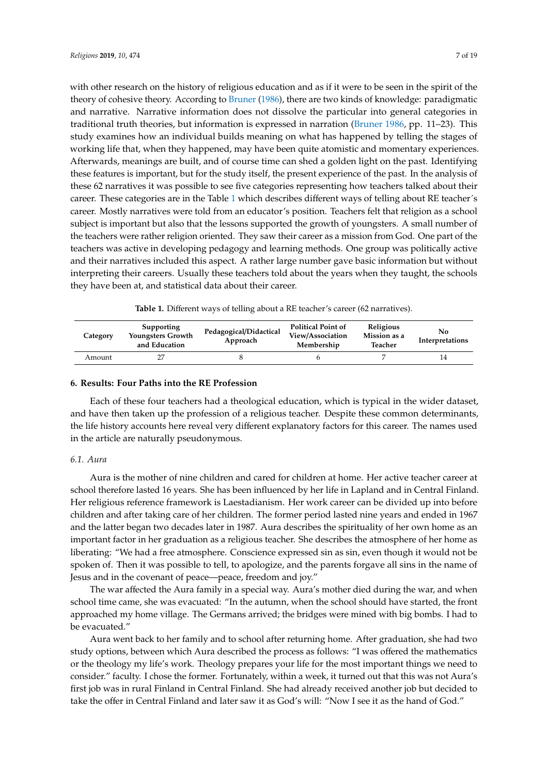with other research on the history of religious education and as if it were to be seen in the spirit of the theory of cohesive theory. According to [Bruner](#page-16-6) [\(1986\)](#page-16-6), there are two kinds of knowledge: paradigmatic and narrative. Narrative information does not dissolve the particular into general categories in traditional truth theories, but information is expressed in narration [\(Bruner](#page-16-6) [1986,](#page-16-6) pp. 11–23). This study examines how an individual builds meaning on what has happened by telling the stages of working life that, when they happened, may have been quite atomistic and momentary experiences. Afterwards, meanings are built, and of course time can shed a golden light on the past. Identifying these features is important, but for the study itself, the present experience of the past. In the analysis of these 62 narratives it was possible to see five categories representing how teachers talked about their career. These categories are in the Table [1](#page-6-0) which describes different ways of telling about RE teacher´s career. Mostly narratives were told from an educator's position. Teachers felt that religion as a school subject is important but also that the lessons supported the growth of youngsters. A small number of the teachers were rather religion oriented. They saw their career as a mission from God. One part of the teachers was active in developing pedagogy and learning methods. One group was politically active and their narratives included this aspect. A rather large number gave basic information but without interpreting their careers. Usually these teachers told about the years when they taught, the schools they have been at, and statistical data about their career.

**Table 1.** Different ways of telling about a RE teacher's career (62 narratives).

<span id="page-6-0"></span>

| Category | Supporting<br>Youngsters Growth<br>and Education | Pedagogical/Didactical<br>Approach | <b>Political Point of</b><br>View/Association<br>Membership | <b>Religious</b><br>Mission as a<br>Teacher | No.<br>Interpretations |
|----------|--------------------------------------------------|------------------------------------|-------------------------------------------------------------|---------------------------------------------|------------------------|
| Amount   |                                                  |                                    |                                                             |                                             |                        |

# **6. Results: Four Paths into the RE Profession**

Each of these four teachers had a theological education, which is typical in the wider dataset, and have then taken up the profession of a religious teacher. Despite these common determinants, the life history accounts here reveal very different explanatory factors for this career. The names used in the article are naturally pseudonymous.

# *6.1. Aura*

Aura is the mother of nine children and cared for children at home. Her active teacher career at school therefore lasted 16 years. She has been influenced by her life in Lapland and in Central Finland. Her religious reference framework is Laestadianism. Her work career can be divided up into before children and after taking care of her children. The former period lasted nine years and ended in 1967 and the latter began two decades later in 1987. Aura describes the spirituality of her own home as an important factor in her graduation as a religious teacher. She describes the atmosphere of her home as liberating: "We had a free atmosphere. Conscience expressed sin as sin, even though it would not be spoken of. Then it was possible to tell, to apologize, and the parents forgave all sins in the name of Jesus and in the covenant of peace—peace, freedom and joy."

The war affected the Aura family in a special way. Aura's mother died during the war, and when school time came, she was evacuated: "In the autumn, when the school should have started, the front approached my home village. The Germans arrived; the bridges were mined with big bombs. I had to be evacuated."

Aura went back to her family and to school after returning home. After graduation, she had two study options, between which Aura described the process as follows: "I was offered the mathematics or the theology my life's work. Theology prepares your life for the most important things we need to consider." faculty. I chose the former. Fortunately, within a week, it turned out that this was not Aura's first job was in rural Finland in Central Finland. She had already received another job but decided to take the offer in Central Finland and later saw it as God's will: "Now I see it as the hand of God."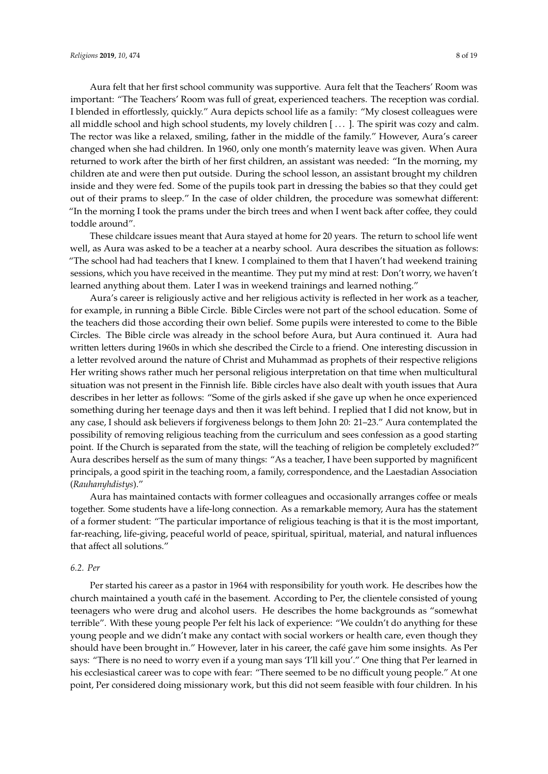Aura felt that her first school community was supportive. Aura felt that the Teachers' Room was important: "The Teachers' Room was full of great, experienced teachers. The reception was cordial. I blended in effortlessly, quickly." Aura depicts school life as a family: "My closest colleagues were all middle school and high school students, my lovely children [ . . . ]. The spirit was cozy and calm. The rector was like a relaxed, smiling, father in the middle of the family." However, Aura's career changed when she had children. In 1960, only one month's maternity leave was given. When Aura returned to work after the birth of her first children, an assistant was needed: "In the morning, my children ate and were then put outside. During the school lesson, an assistant brought my children inside and they were fed. Some of the pupils took part in dressing the babies so that they could get out of their prams to sleep." In the case of older children, the procedure was somewhat different: "In the morning I took the prams under the birch trees and when I went back after coffee, they could toddle around".

These childcare issues meant that Aura stayed at home for 20 years. The return to school life went well, as Aura was asked to be a teacher at a nearby school. Aura describes the situation as follows: "The school had had teachers that I knew. I complained to them that I haven't had weekend training sessions, which you have received in the meantime. They put my mind at rest: Don't worry, we haven't learned anything about them. Later I was in weekend trainings and learned nothing."

Aura's career is religiously active and her religious activity is reflected in her work as a teacher, for example, in running a Bible Circle. Bible Circles were not part of the school education. Some of the teachers did those according their own belief. Some pupils were interested to come to the Bible Circles. The Bible circle was already in the school before Aura, but Aura continued it. Aura had written letters during 1960s in which she described the Circle to a friend. One interesting discussion in a letter revolved around the nature of Christ and Muhammad as prophets of their respective religions Her writing shows rather much her personal religious interpretation on that time when multicultural situation was not present in the Finnish life. Bible circles have also dealt with youth issues that Aura describes in her letter as follows: "Some of the girls asked if she gave up when he once experienced something during her teenage days and then it was left behind. I replied that I did not know, but in any case, I should ask believers if forgiveness belongs to them John 20: 21–23." Aura contemplated the possibility of removing religious teaching from the curriculum and sees confession as a good starting point. If the Church is separated from the state, will the teaching of religion be completely excluded?" Aura describes herself as the sum of many things: "As a teacher, I have been supported by magnificent principals, a good spirit in the teaching room, a family, correspondence, and the Laestadian Association (*Rauhanyhdistys*)."

Aura has maintained contacts with former colleagues and occasionally arranges coffee or meals together. Some students have a life-long connection. As a remarkable memory, Aura has the statement of a former student: "The particular importance of religious teaching is that it is the most important, far-reaching, life-giving, peaceful world of peace, spiritual, spiritual, material, and natural influences that affect all solutions."

# *6.2. Per*

Per started his career as a pastor in 1964 with responsibility for youth work. He describes how the church maintained a youth café in the basement. According to Per, the clientele consisted of young teenagers who were drug and alcohol users. He describes the home backgrounds as "somewhat terrible". With these young people Per felt his lack of experience: "We couldn't do anything for these young people and we didn't make any contact with social workers or health care, even though they should have been brought in." However, later in his career, the café gave him some insights. As Per says: "There is no need to worry even if a young man says 'I'll kill you'." One thing that Per learned in his ecclesiastical career was to cope with fear: "There seemed to be no difficult young people." At one point, Per considered doing missionary work, but this did not seem feasible with four children. In his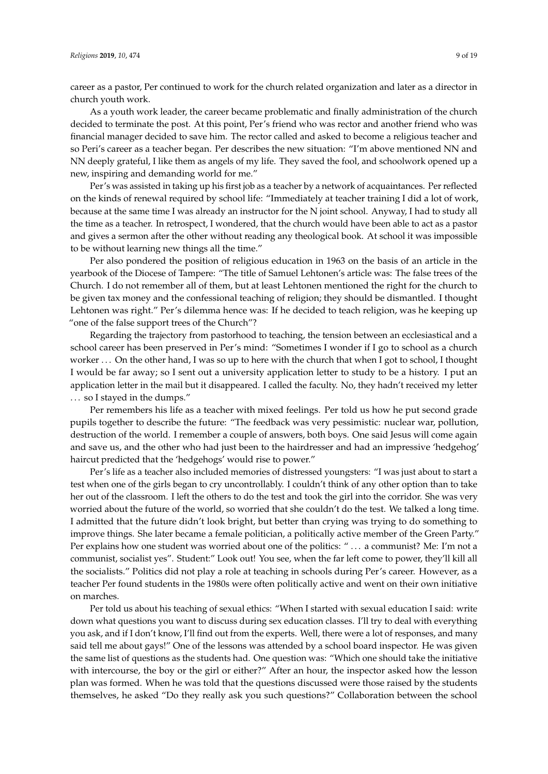career as a pastor, Per continued to work for the church related organization and later as a director in church youth work.

As a youth work leader, the career became problematic and finally administration of the church decided to terminate the post. At this point, Per's friend who was rector and another friend who was financial manager decided to save him. The rector called and asked to become a religious teacher and so Peri's career as a teacher began. Per describes the new situation: "I'm above mentioned NN and NN deeply grateful, I like them as angels of my life. They saved the fool, and schoolwork opened up a new, inspiring and demanding world for me."

Per's was assisted in taking up his first job as a teacher by a network of acquaintances. Per reflected on the kinds of renewal required by school life: "Immediately at teacher training I did a lot of work, because at the same time I was already an instructor for the N joint school. Anyway, I had to study all the time as a teacher. In retrospect, I wondered, that the church would have been able to act as a pastor and gives a sermon after the other without reading any theological book. At school it was impossible to be without learning new things all the time."

Per also pondered the position of religious education in 1963 on the basis of an article in the yearbook of the Diocese of Tampere: "The title of Samuel Lehtonen's article was: The false trees of the Church. I do not remember all of them, but at least Lehtonen mentioned the right for the church to be given tax money and the confessional teaching of religion; they should be dismantled. I thought Lehtonen was right." Per's dilemma hence was: If he decided to teach religion, was he keeping up "one of the false support trees of the Church"?

Regarding the trajectory from pastorhood to teaching, the tension between an ecclesiastical and a school career has been preserved in Per's mind: "Sometimes I wonder if I go to school as a church worker . . . On the other hand, I was so up to here with the church that when I got to school, I thought I would be far away; so I sent out a university application letter to study to be a history. I put an application letter in the mail but it disappeared. I called the faculty. No, they hadn't received my letter . . . so I stayed in the dumps."

Per remembers his life as a teacher with mixed feelings. Per told us how he put second grade pupils together to describe the future: "The feedback was very pessimistic: nuclear war, pollution, destruction of the world. I remember a couple of answers, both boys. One said Jesus will come again and save us, and the other who had just been to the hairdresser and had an impressive 'hedgehog' haircut predicted that the 'hedgehogs' would rise to power."

Per's life as a teacher also included memories of distressed youngsters: "I was just about to start a test when one of the girls began to cry uncontrollably. I couldn't think of any other option than to take her out of the classroom. I left the others to do the test and took the girl into the corridor. She was very worried about the future of the world, so worried that she couldn't do the test. We talked a long time. I admitted that the future didn't look bright, but better than crying was trying to do something to improve things. She later became a female politician, a politically active member of the Green Party." Per explains how one student was worried about one of the politics: " . . . a communist? Me: I'm not a communist, socialist yes". Student:" Look out! You see, when the far left come to power, they'll kill all the socialists." Politics did not play a role at teaching in schools during Per's career. However, as a teacher Per found students in the 1980s were often politically active and went on their own initiative on marches.

Per told us about his teaching of sexual ethics: "When I started with sexual education I said: write down what questions you want to discuss during sex education classes. I'll try to deal with everything you ask, and if I don't know, I'll find out from the experts. Well, there were a lot of responses, and many said tell me about gays!" One of the lessons was attended by a school board inspector. He was given the same list of questions as the students had. One question was: "Which one should take the initiative with intercourse, the boy or the girl or either?" After an hour, the inspector asked how the lesson plan was formed. When he was told that the questions discussed were those raised by the students themselves, he asked "Do they really ask you such questions?" Collaboration between the school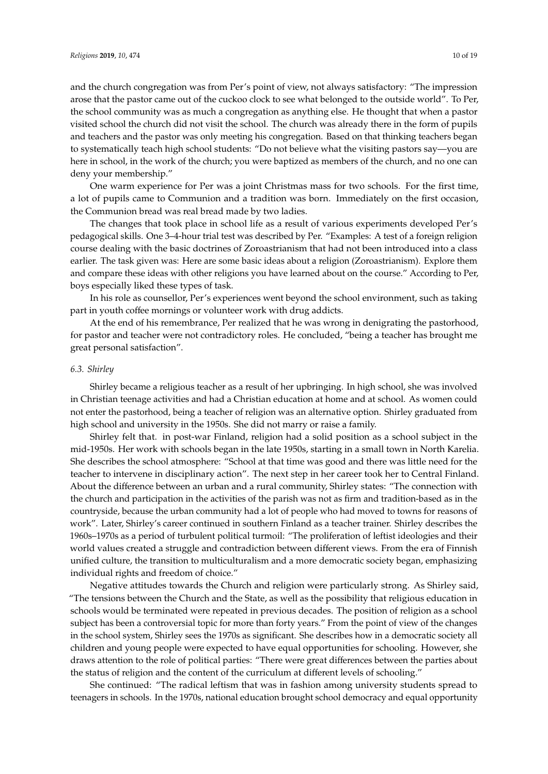and the church congregation was from Per's point of view, not always satisfactory: "The impression arose that the pastor came out of the cuckoo clock to see what belonged to the outside world". To Per, the school community was as much a congregation as anything else. He thought that when a pastor visited school the church did not visit the school. The church was already there in the form of pupils and teachers and the pastor was only meeting his congregation. Based on that thinking teachers began to systematically teach high school students: "Do not believe what the visiting pastors say—you are here in school, in the work of the church; you were baptized as members of the church, and no one can

deny your membership." One warm experience for Per was a joint Christmas mass for two schools. For the first time, a lot of pupils came to Communion and a tradition was born. Immediately on the first occasion, the Communion bread was real bread made by two ladies.

The changes that took place in school life as a result of various experiments developed Per's pedagogical skills. One 3–4-hour trial test was described by Per. "Examples: A test of a foreign religion course dealing with the basic doctrines of Zoroastrianism that had not been introduced into a class earlier. The task given was: Here are some basic ideas about a religion (Zoroastrianism). Explore them and compare these ideas with other religions you have learned about on the course." According to Per, boys especially liked these types of task.

In his role as counsellor, Per's experiences went beyond the school environment, such as taking part in youth coffee mornings or volunteer work with drug addicts.

At the end of his remembrance, Per realized that he was wrong in denigrating the pastorhood, for pastor and teacher were not contradictory roles. He concluded, "being a teacher has brought me great personal satisfaction".

#### *6.3. Shirley*

Shirley became a religious teacher as a result of her upbringing. In high school, she was involved in Christian teenage activities and had a Christian education at home and at school. As women could not enter the pastorhood, being a teacher of religion was an alternative option. Shirley graduated from high school and university in the 1950s. She did not marry or raise a family.

Shirley felt that. in post-war Finland, religion had a solid position as a school subject in the mid-1950s. Her work with schools began in the late 1950s, starting in a small town in North Karelia. She describes the school atmosphere: "School at that time was good and there was little need for the teacher to intervene in disciplinary action". The next step in her career took her to Central Finland. About the difference between an urban and a rural community, Shirley states: "The connection with the church and participation in the activities of the parish was not as firm and tradition-based as in the countryside, because the urban community had a lot of people who had moved to towns for reasons of work". Later, Shirley's career continued in southern Finland as a teacher trainer. Shirley describes the 1960s–1970s as a period of turbulent political turmoil: "The proliferation of leftist ideologies and their world values created a struggle and contradiction between different views. From the era of Finnish unified culture, the transition to multiculturalism and a more democratic society began, emphasizing individual rights and freedom of choice."

Negative attitudes towards the Church and religion were particularly strong. As Shirley said, "The tensions between the Church and the State, as well as the possibility that religious education in schools would be terminated were repeated in previous decades. The position of religion as a school subject has been a controversial topic for more than forty years." From the point of view of the changes in the school system, Shirley sees the 1970s as significant. She describes how in a democratic society all children and young people were expected to have equal opportunities for schooling. However, she draws attention to the role of political parties: "There were great differences between the parties about the status of religion and the content of the curriculum at different levels of schooling."

She continued: "The radical leftism that was in fashion among university students spread to teenagers in schools. In the 1970s, national education brought school democracy and equal opportunity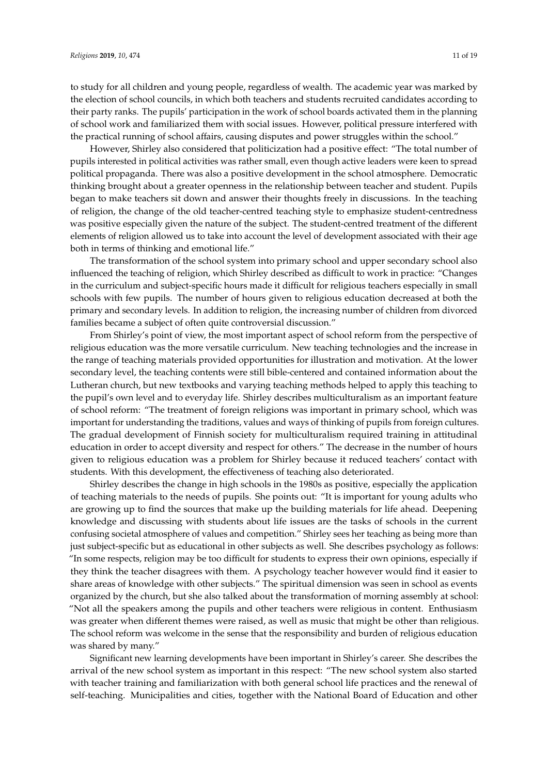to study for all children and young people, regardless of wealth. The academic year was marked by the election of school councils, in which both teachers and students recruited candidates according to their party ranks. The pupils' participation in the work of school boards activated them in the planning of school work and familiarized them with social issues. However, political pressure interfered with the practical running of school affairs, causing disputes and power struggles within the school."

However, Shirley also considered that politicization had a positive effect: "The total number of pupils interested in political activities was rather small, even though active leaders were keen to spread political propaganda. There was also a positive development in the school atmosphere. Democratic thinking brought about a greater openness in the relationship between teacher and student. Pupils began to make teachers sit down and answer their thoughts freely in discussions. In the teaching of religion, the change of the old teacher-centred teaching style to emphasize student-centredness was positive especially given the nature of the subject. The student-centred treatment of the different elements of religion allowed us to take into account the level of development associated with their age both in terms of thinking and emotional life."

The transformation of the school system into primary school and upper secondary school also influenced the teaching of religion, which Shirley described as difficult to work in practice: "Changes in the curriculum and subject-specific hours made it difficult for religious teachers especially in small schools with few pupils. The number of hours given to religious education decreased at both the primary and secondary levels. In addition to religion, the increasing number of children from divorced families became a subject of often quite controversial discussion."

From Shirley's point of view, the most important aspect of school reform from the perspective of religious education was the more versatile curriculum. New teaching technologies and the increase in the range of teaching materials provided opportunities for illustration and motivation. At the lower secondary level, the teaching contents were still bible-centered and contained information about the Lutheran church, but new textbooks and varying teaching methods helped to apply this teaching to the pupil's own level and to everyday life. Shirley describes multiculturalism as an important feature of school reform: "The treatment of foreign religions was important in primary school, which was important for understanding the traditions, values and ways of thinking of pupils from foreign cultures. The gradual development of Finnish society for multiculturalism required training in attitudinal education in order to accept diversity and respect for others." The decrease in the number of hours given to religious education was a problem for Shirley because it reduced teachers' contact with students. With this development, the effectiveness of teaching also deteriorated.

Shirley describes the change in high schools in the 1980s as positive, especially the application of teaching materials to the needs of pupils. She points out: "It is important for young adults who are growing up to find the sources that make up the building materials for life ahead. Deepening knowledge and discussing with students about life issues are the tasks of schools in the current confusing societal atmosphere of values and competition." Shirley sees her teaching as being more than just subject-specific but as educational in other subjects as well. She describes psychology as follows: "In some respects, religion may be too difficult for students to express their own opinions, especially if they think the teacher disagrees with them. A psychology teacher however would find it easier to share areas of knowledge with other subjects." The spiritual dimension was seen in school as events organized by the church, but she also talked about the transformation of morning assembly at school: "Not all the speakers among the pupils and other teachers were religious in content. Enthusiasm was greater when different themes were raised, as well as music that might be other than religious. The school reform was welcome in the sense that the responsibility and burden of religious education was shared by many."

Significant new learning developments have been important in Shirley's career. She describes the arrival of the new school system as important in this respect: "The new school system also started with teacher training and familiarization with both general school life practices and the renewal of self-teaching. Municipalities and cities, together with the National Board of Education and other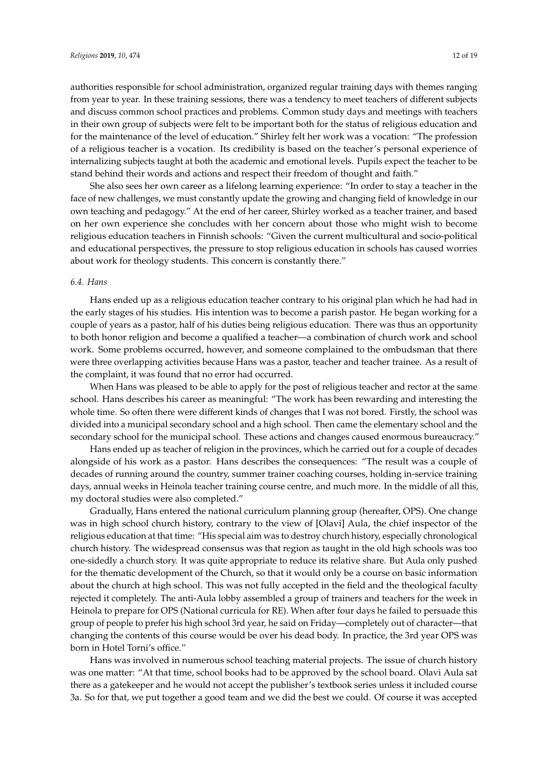authorities responsible for school administration, organized regular training days with themes ranging from year to year. In these training sessions, there was a tendency to meet teachers of different subjects and discuss common school practices and problems. Common study days and meetings with teachers in their own group of subjects were felt to be important both for the status of religious education and for the maintenance of the level of education." Shirley felt her work was a vocation: "The profession of a religious teacher is a vocation. Its credibility is based on the teacher's personal experience of internalizing subjects taught at both the academic and emotional levels. Pupils expect the teacher to be stand behind their words and actions and respect their freedom of thought and faith."

She also sees her own career as a lifelong learning experience: "In order to stay a teacher in the face of new challenges, we must constantly update the growing and changing field of knowledge in our own teaching and pedagogy." At the end of her career, Shirley worked as a teacher trainer, and based on her own experience she concludes with her concern about those who might wish to become religious education teachers in Finnish schools: "Given the current multicultural and socio-political and educational perspectives, the pressure to stop religious education in schools has caused worries about work for theology students. This concern is constantly there."

#### *6.4. Hans*

Hans ended up as a religious education teacher contrary to his original plan which he had had in the early stages of his studies. His intention was to become a parish pastor. He began working for a couple of years as a pastor, half of his duties being religious education. There was thus an opportunity to both honor religion and become a qualified a teacher—a combination of church work and school work. Some problems occurred, however, and someone complained to the ombudsman that there were three overlapping activities because Hans was a pastor, teacher and teacher trainee. As a result of the complaint, it was found that no error had occurred.

When Hans was pleased to be able to apply for the post of religious teacher and rector at the same school. Hans describes his career as meaningful: "The work has been rewarding and interesting the whole time. So often there were different kinds of changes that I was not bored. Firstly, the school was divided into a municipal secondary school and a high school. Then came the elementary school and the secondary school for the municipal school. These actions and changes caused enormous bureaucracy."

Hans ended up as teacher of religion in the provinces, which he carried out for a couple of decades alongside of his work as a pastor. Hans describes the consequences: "The result was a couple of decades of running around the country, summer trainer coaching courses, holding in-service training days, annual weeks in Heinola teacher training course centre, and much more. In the middle of all this, my doctoral studies were also completed."

Gradually, Hans entered the national curriculum planning group (hereafter, OPS). One change was in high school church history, contrary to the view of [Olavi] Aula, the chief inspector of the religious education at that time: "His special aim was to destroy church history, especially chronological church history. The widespread consensus was that region as taught in the old high schools was too one-sidedly a church story. It was quite appropriate to reduce its relative share. But Aula only pushed for the thematic development of the Church, so that it would only be a course on basic information about the church at high school. This was not fully accepted in the field and the theological faculty rejected it completely. The anti-Aula lobby assembled a group of trainers and teachers for the week in Heinola to prepare for OPS (National curricula for RE). When after four days he failed to persuade this group of people to prefer his high school 3rd year, he said on Friday—completely out of character—that changing the contents of this course would be over his dead body. In practice, the 3rd year OPS was born in Hotel Torni's office."

Hans was involved in numerous school teaching material projects. The issue of church history was one matter: "At that time, school books had to be approved by the school board. Olavi Aula sat there as a gatekeeper and he would not accept the publisher's textbook series unless it included course 3a. So for that, we put together a good team and we did the best we could. Of course it was accepted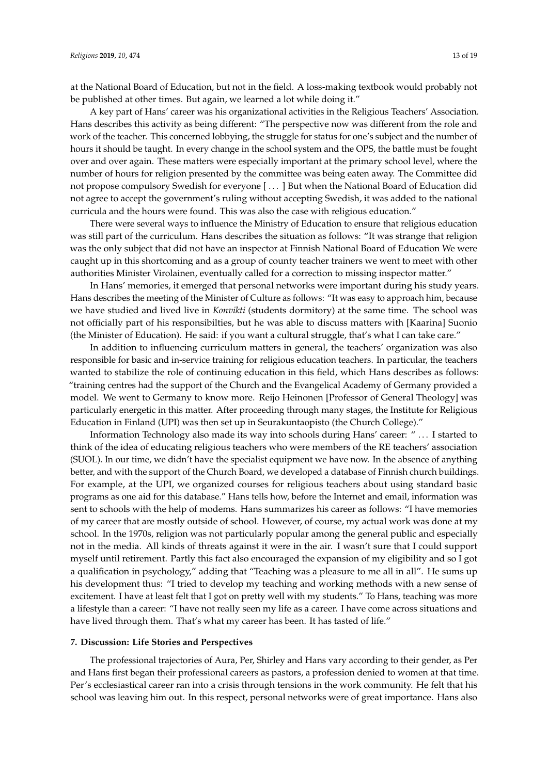at the National Board of Education, but not in the field. A loss-making textbook would probably not be published at other times. But again, we learned a lot while doing it."

A key part of Hans' career was his organizational activities in the Religious Teachers' Association. Hans describes this activity as being different: "The perspective now was different from the role and work of the teacher. This concerned lobbying, the struggle for status for one's subject and the number of hours it should be taught. In every change in the school system and the OPS, the battle must be fought over and over again. These matters were especially important at the primary school level, where the number of hours for religion presented by the committee was being eaten away. The Committee did not propose compulsory Swedish for everyone [ . . . ] But when the National Board of Education did not agree to accept the government's ruling without accepting Swedish, it was added to the national curricula and the hours were found. This was also the case with religious education."

There were several ways to influence the Ministry of Education to ensure that religious education was still part of the curriculum. Hans describes the situation as follows: "It was strange that religion was the only subject that did not have an inspector at Finnish National Board of Education We were caught up in this shortcoming and as a group of county teacher trainers we went to meet with other authorities Minister Virolainen, eventually called for a correction to missing inspector matter."

In Hans' memories, it emerged that personal networks were important during his study years. Hans describes the meeting of the Minister of Culture as follows: "It was easy to approach him, because we have studied and lived live in *Konvikti* (students dormitory) at the same time. The school was not officially part of his responsibilties, but he was able to discuss matters with [Kaarina] Suonio (the Minister of Education). He said: if you want a cultural struggle, that's what I can take care."

In addition to influencing curriculum matters in general, the teachers' organization was also responsible for basic and in-service training for religious education teachers. In particular, the teachers wanted to stabilize the role of continuing education in this field, which Hans describes as follows: "training centres had the support of the Church and the Evangelical Academy of Germany provided a model. We went to Germany to know more. Reijo Heinonen [Professor of General Theology] was particularly energetic in this matter. After proceeding through many stages, the Institute for Religious Education in Finland (UPI) was then set up in Seurakuntaopisto (the Church College)."

Information Technology also made its way into schools during Hans' career: " . . . I started to think of the idea of educating religious teachers who were members of the RE teachers' association (SUOL). In our time, we didn't have the specialist equipment we have now. In the absence of anything better, and with the support of the Church Board, we developed a database of Finnish church buildings. For example, at the UPI, we organized courses for religious teachers about using standard basic programs as one aid for this database." Hans tells how, before the Internet and email, information was sent to schools with the help of modems. Hans summarizes his career as follows: "I have memories of my career that are mostly outside of school. However, of course, my actual work was done at my school. In the 1970s, religion was not particularly popular among the general public and especially not in the media. All kinds of threats against it were in the air. I wasn't sure that I could support myself until retirement. Partly this fact also encouraged the expansion of my eligibility and so I got a qualification in psychology," adding that "Teaching was a pleasure to me all in all". He sums up his development thus: "I tried to develop my teaching and working methods with a new sense of excitement. I have at least felt that I got on pretty well with my students." To Hans, teaching was more a lifestyle than a career: "I have not really seen my life as a career. I have come across situations and have lived through them. That's what my career has been. It has tasted of life."

#### **7. Discussion: Life Stories and Perspectives**

The professional trajectories of Aura, Per, Shirley and Hans vary according to their gender, as Per and Hans first began their professional careers as pastors, a profession denied to women at that time. Per's ecclesiastical career ran into a crisis through tensions in the work community. He felt that his school was leaving him out. In this respect, personal networks were of great importance. Hans also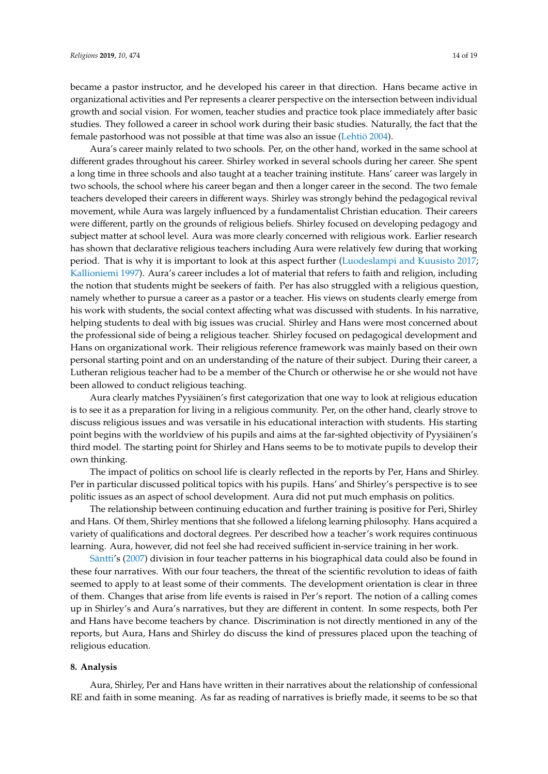became a pastor instructor, and he developed his career in that direction. Hans became active in organizational activities and Per represents a clearer perspective on the intersection between individual growth and social vision. For women, teacher studies and practice took place immediately after basic studies. They followed a career in school work during their basic studies. Naturally, the fact that the female pastorhood was not possible at that time was also an issue [\(Lehtiö](#page-17-22) [2004\)](#page-17-22).

Aura's career mainly related to two schools. Per, on the other hand, worked in the same school at different grades throughout his career. Shirley worked in several schools during her career. She spent a long time in three schools and also taught at a teacher training institute. Hans' career was largely in two schools, the school where his career began and then a longer career in the second. The two female teachers developed their careers in different ways. Shirley was strongly behind the pedagogical revival movement, while Aura was largely influenced by a fundamentalist Christian education. Their careers were different, partly on the grounds of religious beliefs. Shirley focused on developing pedagogy and subject matter at school level. Aura was more clearly concerned with religious work. Earlier research has shown that declarative religious teachers including Aura were relatively few during that working period. That is why it is important to look at this aspect further [\(Luodeslampi and Kuusisto](#page-17-2) [2017;](#page-17-2) [Kallioniemi](#page-17-21) [1997\)](#page-17-21). Aura's career includes a lot of material that refers to faith and religion, including the notion that students might be seekers of faith. Per has also struggled with a religious question, namely whether to pursue a career as a pastor or a teacher. His views on students clearly emerge from his work with students, the social context affecting what was discussed with students. In his narrative, helping students to deal with big issues was crucial. Shirley and Hans were most concerned about the professional side of being a religious teacher. Shirley focused on pedagogical development and Hans on organizational work. Their religious reference framework was mainly based on their own personal starting point and on an understanding of the nature of their subject. During their career, a Lutheran religious teacher had to be a member of the Church or otherwise he or she would not have been allowed to conduct religious teaching.

Aura clearly matches Pyysiäinen's first categorization that one way to look at religious education is to see it as a preparation for living in a religious community. Per, on the other hand, clearly strove to discuss religious issues and was versatile in his educational interaction with students. His starting point begins with the worldview of his pupils and aims at the far-sighted objectivity of Pyysiäinen's third model. The starting point for Shirley and Hans seems to be to motivate pupils to develop their own thinking.

The impact of politics on school life is clearly reflected in the reports by Per, Hans and Shirley. Per in particular discussed political topics with his pupils. Hans' and Shirley's perspective is to see politic issues as an aspect of school development. Aura did not put much emphasis on politics.

The relationship between continuing education and further training is positive for Peri, Shirley and Hans. Of them, Shirley mentions that she followed a lifelong learning philosophy. Hans acquired a variety of qualifications and doctoral degrees. Per described how a teacher's work requires continuous learning. Aura, however, did not feel she had received sufficient in-service training in her work.

[Säntti'](#page-18-10)s [\(2007\)](#page-18-10) division in four teacher patterns in his biographical data could also be found in these four narratives. With our four teachers, the threat of the scientific revolution to ideas of faith seemed to apply to at least some of their comments. The development orientation is clear in three of them. Changes that arise from life events is raised in Per's report. The notion of a calling comes up in Shirley's and Aura's narratives, but they are different in content. In some respects, both Per and Hans have become teachers by chance. Discrimination is not directly mentioned in any of the reports, but Aura, Hans and Shirley do discuss the kind of pressures placed upon the teaching of religious education.

# **8. Analysis**

Aura, Shirley, Per and Hans have written in their narratives about the relationship of confessional RE and faith in some meaning. As far as reading of narratives is briefly made, it seems to be so that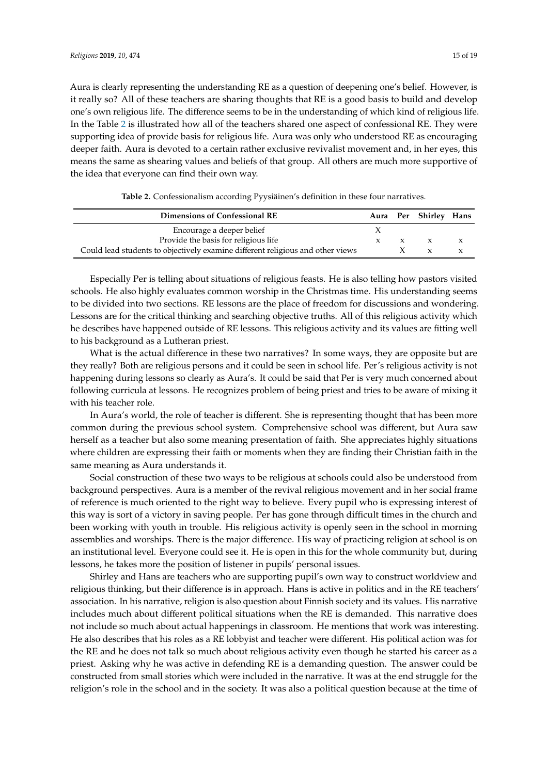Aura is clearly representing the understanding RE as a question of deepening one's belief. However, is it really so? All of these teachers are sharing thoughts that RE is a good basis to build and develop one's own religious life. The difference seems to be in the understanding of which kind of religious life. In the Table [2](#page-14-0) is illustrated how all of the teachers shared one aspect of confessional RE. They were supporting idea of provide basis for religious life. Aura was only who understood RE as encouraging deeper faith. Aura is devoted to a certain rather exclusive revivalist movement and, in her eyes, this means the same as shearing values and beliefs of that group. All others are much more supportive of the idea that everyone can find their own way.

<span id="page-14-0"></span>

| Dimensions of Confessional RE                                                  |  |              | Aura Per Shirley Hans |  |
|--------------------------------------------------------------------------------|--|--------------|-----------------------|--|
| Encourage a deeper belief                                                      |  |              |                       |  |
| Provide the basis for religious life                                           |  | $\mathbf{x}$ |                       |  |
| Could lead students to objectively examine different religious and other views |  |              |                       |  |

**Table 2.** Confessionalism according Pyysiäinen's definition in these four narratives.

Especially Per is telling about situations of religious feasts. He is also telling how pastors visited schools. He also highly evaluates common worship in the Christmas time. His understanding seems to be divided into two sections. RE lessons are the place of freedom for discussions and wondering. Lessons are for the critical thinking and searching objective truths. All of this religious activity which he describes have happened outside of RE lessons. This religious activity and its values are fitting well to his background as a Lutheran priest.

What is the actual difference in these two narratives? In some ways, they are opposite but are they really? Both are religious persons and it could be seen in school life. Per's religious activity is not happening during lessons so clearly as Aura's. It could be said that Per is very much concerned about following curricula at lessons. He recognizes problem of being priest and tries to be aware of mixing it with his teacher role.

In Aura's world, the role of teacher is different. She is representing thought that has been more common during the previous school system. Comprehensive school was different, but Aura saw herself as a teacher but also some meaning presentation of faith. She appreciates highly situations where children are expressing their faith or moments when they are finding their Christian faith in the same meaning as Aura understands it.

Social construction of these two ways to be religious at schools could also be understood from background perspectives. Aura is a member of the revival religious movement and in her social frame of reference is much oriented to the right way to believe. Every pupil who is expressing interest of this way is sort of a victory in saving people. Per has gone through difficult times in the church and been working with youth in trouble. His religious activity is openly seen in the school in morning assemblies and worships. There is the major difference. His way of practicing religion at school is on an institutional level. Everyone could see it. He is open in this for the whole community but, during lessons, he takes more the position of listener in pupils' personal issues.

Shirley and Hans are teachers who are supporting pupil's own way to construct worldview and religious thinking, but their difference is in approach. Hans is active in politics and in the RE teachers' association. In his narrative, religion is also question about Finnish society and its values. His narrative includes much about different political situations when the RE is demanded. This narrative does not include so much about actual happenings in classroom. He mentions that work was interesting. He also describes that his roles as a RE lobbyist and teacher were different. His political action was for the RE and he does not talk so much about religious activity even though he started his career as a priest. Asking why he was active in defending RE is a demanding question. The answer could be constructed from small stories which were included in the narrative. It was at the end struggle for the religion's role in the school and in the society. It was also a political question because at the time of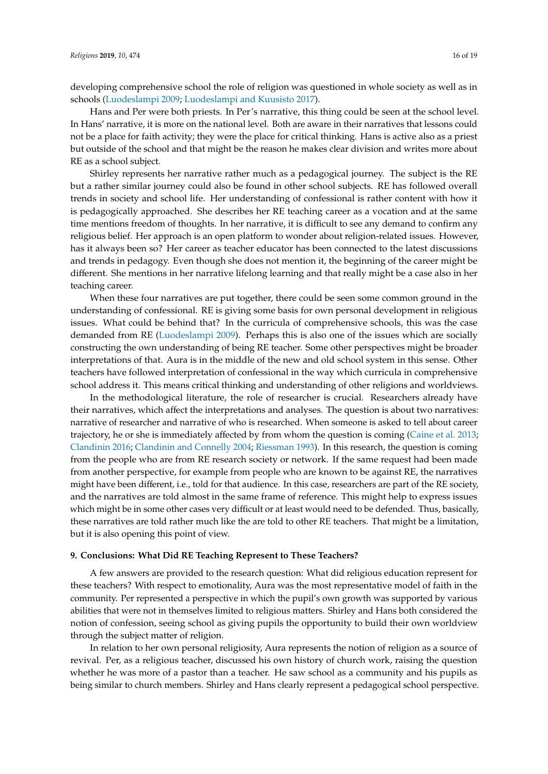developing comprehensive school the role of religion was questioned in whole society as well as in schools [\(Luodeslampi](#page-17-1) [2009;](#page-17-1) [Luodeslampi and Kuusisto](#page-17-2) [2017\)](#page-17-2).

Hans and Per were both priests. In Per's narrative, this thing could be seen at the school level. In Hans' narrative, it is more on the national level. Both are aware in their narratives that lessons could not be a place for faith activity; they were the place for critical thinking. Hans is active also as a priest but outside of the school and that might be the reason he makes clear division and writes more about RE as a school subject.

Shirley represents her narrative rather much as a pedagogical journey. The subject is the RE but a rather similar journey could also be found in other school subjects. RE has followed overall trends in society and school life. Her understanding of confessional is rather content with how it is pedagogically approached. She describes her RE teaching career as a vocation and at the same time mentions freedom of thoughts. In her narrative, it is difficult to see any demand to confirm any religious belief. Her approach is an open platform to wonder about religion-related issues. However, has it always been so? Her career as teacher educator has been connected to the latest discussions and trends in pedagogy. Even though she does not mention it, the beginning of the career might be different. She mentions in her narrative lifelong learning and that really might be a case also in her teaching career.

When these four narratives are put together, there could be seen some common ground in the understanding of confessional. RE is giving some basis for own personal development in religious issues. What could be behind that? In the curricula of comprehensive schools, this was the case demanded from RE [\(Luodeslampi](#page-17-1) [2009\)](#page-17-1). Perhaps this is also one of the issues which are socially constructing the own understanding of being RE teacher. Some other perspectives might be broader interpretations of that. Aura is in the middle of the new and old school system in this sense. Other teachers have followed interpretation of confessional in the way which curricula in comprehensive school address it. This means critical thinking and understanding of other religions and worldviews.

In the methodological literature, the role of researcher is crucial. Researchers already have their narratives, which affect the interpretations and analyses. The question is about two narratives: narrative of researcher and narrative of who is researched. When someone is asked to tell about career trajectory, he or she is immediately affected by from whom the question is coming [\(Caine et al.](#page-16-7) [2013;](#page-16-7) [Clandinin](#page-16-8) [2016;](#page-16-8) [Clandinin and Connelly](#page-16-9) [2004;](#page-16-9) [Riessman](#page-18-22) [1993\)](#page-18-22). In this research, the question is coming from the people who are from RE research society or network. If the same request had been made from another perspective, for example from people who are known to be against RE, the narratives might have been different, i.e., told for that audience. In this case, researchers are part of the RE society, and the narratives are told almost in the same frame of reference. This might help to express issues which might be in some other cases very difficult or at least would need to be defended. Thus, basically, these narratives are told rather much like the are told to other RE teachers. That might be a limitation, but it is also opening this point of view.

#### **9. Conclusions: What Did RE Teaching Represent to These Teachers?**

A few answers are provided to the research question: What did religious education represent for these teachers? With respect to emotionality, Aura was the most representative model of faith in the community. Per represented a perspective in which the pupil's own growth was supported by various abilities that were not in themselves limited to religious matters. Shirley and Hans both considered the notion of confession, seeing school as giving pupils the opportunity to build their own worldview through the subject matter of religion.

In relation to her own personal religiosity, Aura represents the notion of religion as a source of revival. Per, as a religious teacher, discussed his own history of church work, raising the question whether he was more of a pastor than a teacher. He saw school as a community and his pupils as being similar to church members. Shirley and Hans clearly represent a pedagogical school perspective.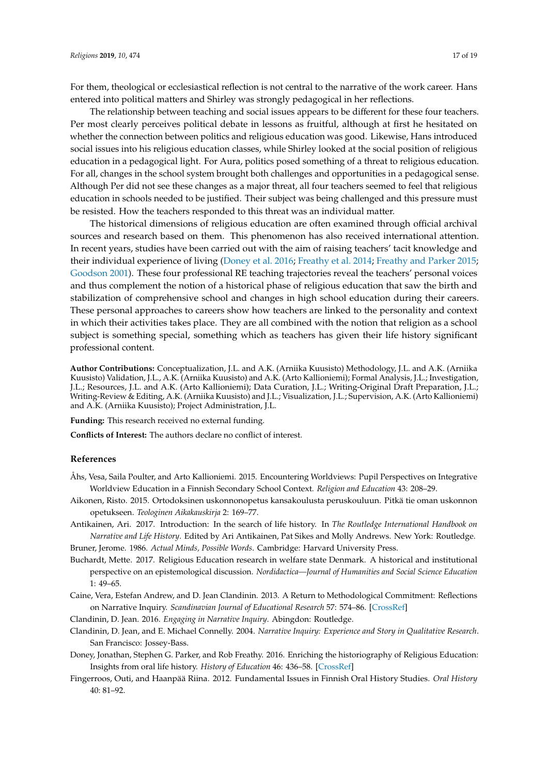For them, theological or ecclesiastical reflection is not central to the narrative of the work career. Hans entered into political matters and Shirley was strongly pedagogical in her reflections.

The relationship between teaching and social issues appears to be different for these four teachers. Per most clearly perceives political debate in lessons as fruitful, although at first he hesitated on whether the connection between politics and religious education was good. Likewise, Hans introduced social issues into his religious education classes, while Shirley looked at the social position of religious education in a pedagogical light. For Aura, politics posed something of a threat to religious education. For all, changes in the school system brought both challenges and opportunities in a pedagogical sense. Although Per did not see these changes as a major threat, all four teachers seemed to feel that religious education in schools needed to be justified. Their subject was being challenged and this pressure must be resisted. How the teachers responded to this threat was an individual matter.

The historical dimensions of religious education are often examined through official archival sources and research based on them. This phenomenon has also received international attention. In recent years, studies have been carried out with the aim of raising teachers' tacit knowledge and their individual experience of living [\(Doney et al.](#page-16-4) [2016;](#page-16-4) [Freathy et al.](#page-17-10) [2014;](#page-17-10) [Freathy and Parker](#page-17-23) [2015;](#page-17-23) [Goodson](#page-17-24) [2001\)](#page-17-24). These four professional RE teaching trajectories reveal the teachers' personal voices and thus complement the notion of a historical phase of religious education that saw the birth and stabilization of comprehensive school and changes in high school education during their careers. These personal approaches to careers show how teachers are linked to the personality and context in which their activities takes place. They are all combined with the notion that religion as a school subject is something special, something which as teachers has given their life history significant professional content.

**Author Contributions:** Conceptualization, J.L. and A.K. (Arniika Kuusisto) Methodology, J.L. and A.K. (Arniika Kuusisto) Validation, J.L., A.K. (Arniika Kuusisto) and A.K. (Arto Kallioniemi); Formal Analysis, J.L.; Investigation, J.L.; Resources, J.L. and A.K. (Arto Kallioniemi); Data Curation, J.L.; Writing-Original Draft Preparation, J.L.; Writing-Review & Editing, A.K. (Arniika Kuusisto) and J.L.; Visualization, J.L.; Supervision, A.K. (Arto Kallioniemi) and A.K. (Arniika Kuusisto); Project Administration, J.L.

**Funding:** This research received no external funding.

**Conflicts of Interest:** The authors declare no conflict of interest.

#### **References**

- <span id="page-16-1"></span>Åhs, Vesa, Saila Poulter, and Arto Kallioniemi. 2015. Encountering Worldviews: Pupil Perspectives on Integrative Worldview Education in a Finnish Secondary School Context. *Religion and Education* 43: 208–29.
- <span id="page-16-2"></span>Aikonen, Risto. 2015. Ortodoksinen uskonnonopetus kansakoulusta peruskouluun. Pitkä tie oman uskonnon opetukseen. *Teologinen Aikakauskirja* 2: 169–77.
- <span id="page-16-0"></span>Antikainen, Ari. 2017. Introduction: In the search of life history. In *The Routledge International Handbook on Narrative and Life History*. Edited by Ari Antikainen, Pat Sikes and Molly Andrews. New York: Routledge.

<span id="page-16-6"></span>Bruner, Jerome. 1986. *Actual Minds, Possible Words*. Cambridge: Harvard University Press.

- <span id="page-16-3"></span>Buchardt, Mette. 2017. Religious Education research in welfare state Denmark. A historical and institutional perspective on an epistemological discussion. *Nordidactica—Journal of Humanities and Social Science Education* 1: 49–65.
- <span id="page-16-7"></span>Caine, Vera, Estefan Andrew, and D. Jean Clandinin. 2013. A Return to Methodological Commitment: Reflections on Narrative Inquiry. *Scandinavian Journal of Educational Research* 57: 574–86. [\[CrossRef\]](http://dx.doi.org/10.1080/00313831.2013.798833)
- <span id="page-16-8"></span>Clandinin, D. Jean. 2016. *Engaging in Narrative Inquiry*. Abingdon: Routledge.
- <span id="page-16-9"></span>Clandinin, D. Jean, and E. Michael Connelly. 2004. *Narrative Inquiry: Experience and Story in Qualitative Research*. San Francisco: Jossey-Bass.
- <span id="page-16-4"></span>Doney, Jonathan, Stephen G. Parker, and Rob Freathy. 2016. Enriching the historiography of Religious Education: Insights from oral life history. *History of Education* 46: 436–58. [\[CrossRef\]](http://dx.doi.org/10.1080/0046760X.2016.1225319)
- <span id="page-16-5"></span>Fingerroos, Outi, and Haanpää Riina. 2012. Fundamental Issues in Finnish Oral History Studies. *Oral History* 40: 81–92.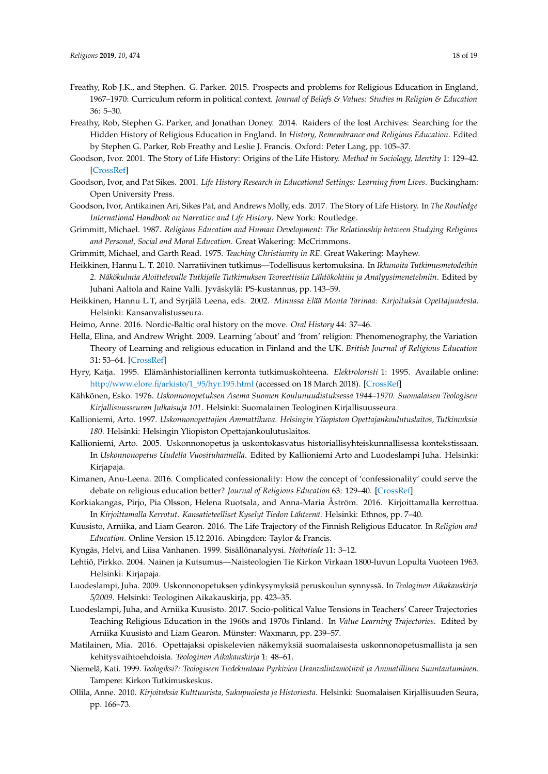- <span id="page-17-23"></span>Freathy, Rob J.K., and Stephen. G. Parker. 2015. Prospects and problems for Religious Education in England, 1967–1970: Curriculum reform in political context. *Journal of Beliefs & Values: Studies in Religion & Education* 36: 5–30.
- <span id="page-17-10"></span>Freathy, Rob, Stephen G. Parker, and Jonathan Doney. 2014. Raiders of the lost Archives: Searching for the Hidden History of Religious Education in England. In *History, Remembrance and Religious Education*. Edited by Stephen G. Parker, Rob Freathy and Leslie J. Francis. Oxford: Peter Lang, pp. 105–37.
- <span id="page-17-24"></span>Goodson, Ivor. 2001. The Story of Life History: Origins of the Life History. *Method in Sociology, Identity* 1: 129–42. [\[CrossRef\]](http://dx.doi.org/10.1207/S1532706XID0102_02)
- <span id="page-17-13"></span>Goodson, Ivor, and Pat Sikes. 2001. *Life History Research in Educational Settings: Learning from Lives*. Buckingham: Open University Press.
- <span id="page-17-12"></span>Goodson, Ivor, Antikainen Ari, Sikes Pat, and Andrews Molly, eds. 2017. The Story of Life History. In *The Routledge International Handbook on Narrative and Life History*. New York: Routledge.
- <span id="page-17-6"></span>Grimmitt, Michael. 1987. *Religious Education and Human Development: The Relationship between Studying Religions and Personal, Social and Moral Education*. Great Wakering: McCrimmons.
- <span id="page-17-16"></span><span id="page-17-5"></span>Grimmitt, Michael, and Garth Read. 1975. *Teaching Christianity in RE*. Great Wakering: Mayhew.
- Heikkinen, Hannu L. T. 2010. Narratiivinen tutkimus—Todellisuus kertomuksina. In *Ikkunoita Tutkimusmetodeihin 2. Näkökulmia Aloittelevalle Tutkijalle Tutkimuksen Teoreettisiin Lähtökohtiin ja Analyysimenetelmiin*. Edited by Juhani Aaltola and Raine Valli. Jyväskylä: PS-kustannus, pp. 143–59.
- <span id="page-17-14"></span>Heikkinen, Hannu L.T, and Syrjälä Leena, eds. 2002. *Minussa Elää Monta Tarinaa: Kirjoituksia Opettajuudesta*. Helsinki: Kansanvalistusseura.
- <span id="page-17-11"></span>Heimo, Anne. 2016. Nordic-Baltic oral history on the move. *Oral History* 44: 37–46.
- <span id="page-17-8"></span>Hella, Elina, and Andrew Wright. 2009. Learning 'about' and 'from' religion: Phenomenography, the Variation Theory of Learning and religious education in Finland and the UK. *British Journal of Religious Education* 31: 53–64. [\[CrossRef\]](http://dx.doi.org/10.1080/01416200802560047)
- <span id="page-17-17"></span>Hyry, Katja. 1995. Elämänhistoriallinen kerronta tutkimuskohteena. *Elektroloristi* 1: 1995. Available online: http://[www.elore.fi](http://www.elore.fi/arkisto/1_95/hyr.195.html)/arkisto/1\_95/hyr.195.html (accessed on 18 March 2018). [\[CrossRef\]](http://dx.doi.org/10.30666/elore.78180)
- <span id="page-17-0"></span>Kähkönen, Esko. 1976. *Uskonnonopetuksen Asema Suomen Koulunuudistuksessa 1944–1970. Suomalaisen Teologisen Kirjallisuusseuran Julkaisuja 101*. Helsinki: Suomalainen Teologinen Kirjallisuusseura.
- <span id="page-17-21"></span>Kallioniemi, Arto. 1997. *Uskonnonopettajien Ammattikuva. Helsingin Yliopiston Opettajankoulutuslaitos, Tutkimuksia 180*. Helsinki: Helsingin Yliopiston Opettajankoulutuslaitos.
- <span id="page-17-3"></span>Kallioniemi, Arto. 2005. Uskonnonopetus ja uskontokasvatus historiallisyhteiskunnallisessa kontekstissaan. In *Uskonnonopetus Uudella Vuosituhannella*. Edited by Kallioniemi Arto and Luodeslampi Juha. Helsinki: Kirjapaja.
- <span id="page-17-7"></span>Kimanen, Anu-Leena. 2016. Complicated confessionality: How the concept of 'confessionality' could serve the debate on religious education better? *Journal of Religious Education* 63: 129–40. [\[CrossRef\]](http://dx.doi.org/10.1007/s40839-016-0023-3)
- <span id="page-17-20"></span>Korkiakangas, Pirjo, Pia Olsson, Helena Ruotsala, and Anna-Maria Åström. 2016. Kirjoittamalla kerrottua. In *Kirjoittamalla Kerrotut. Kansatieteelliset Kyselyt Tiedon Lähteenä*. Helsinki: Ethnos, pp. 7–40.
- <span id="page-17-4"></span>Kuusisto, Arniika, and Liam Gearon. 2016. The Life Trajectory of the Finnish Religious Educator. In *Religion and Education*. Online Version 15.12.2016. Abingdon: Taylor & Francis.
- <span id="page-17-18"></span>Kyngäs, Helvi, and Liisa Vanhanen. 1999. Sisällönanalyysi. *Hoitotiede* 11: 3–12.
- <span id="page-17-22"></span>Lehtiö, Pirkko. 2004. Nainen ja Kutsumus—Naisteologien Tie Kirkon Virkaan 1800-luvun Lopulta Vuoteen 1963. Helsinki: Kirjapaja.
- <span id="page-17-1"></span>Luodeslampi, Juha. 2009. Uskonnonopetuksen ydinkysymyksiä peruskoulun synnyssä. In *Teologinen Aikakauskirja 5*/*2009*. Helsinki: Teologinen Aikakauskirja, pp. 423–35.
- <span id="page-17-2"></span>Luodeslampi, Juha, and Arniika Kuusisto. 2017. Socio-political Value Tensions in Teachers' Career Trajectories Teaching Religious Education in the 1960s and 1970s Finland. In *Value Learning Trajectories*. Edited by Arniika Kuusisto and Liam Gearon. Münster: Waxmann, pp. 239–57.
- <span id="page-17-9"></span>Matilainen, Mia. 2016. Opettajaksi opiskelevien näkemyksiä suomalaisesta uskonnonopetusmallista ja sen kehitysvaihtoehdoista. *Teologinen Aikakauskirja* 1: 48–61.
- <span id="page-17-15"></span>Niemelä, Kati. 1999. *Teologiksi?: Teologiseen Tiedekuntaan Pyrkivien Uranvalintamotiivit ja Ammatillinen Suuntautuminen*. Tampere: Kirkon Tutkimuskeskus.
- <span id="page-17-19"></span>Ollila, Anne. 2010. *Kirjoituksia Kulttuurista, Sukupuolesta ja Historiasta*. Helsinki: Suomalaisen Kirjallisuuden Seura, pp. 166–73.